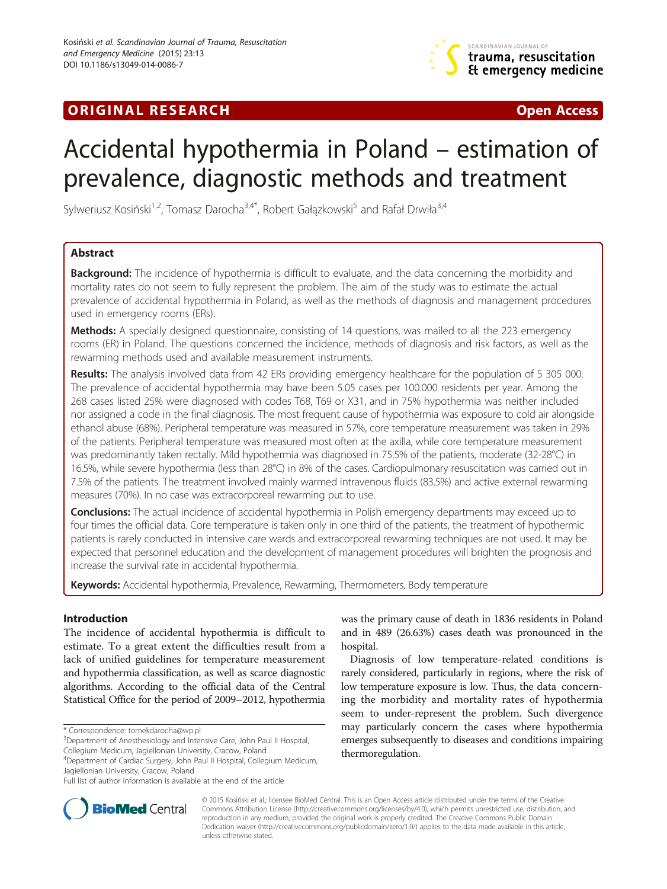## **ORIGINAL RESEARCH CONFIDENTIAL CONSUMING A LIGHT CONFIDENTIAL CONSUMING A LIGHT CONFIDENTIAL CONFIDENTIAL CONSU**



# Accidental hypothermia in Poland – estimation of prevalence, diagnostic methods and treatment

Sylweriusz Kosiński<sup>1,2</sup>, Tomasz Darocha<sup>3,4\*</sup>, Robert Gałązkowski<sup>5</sup> and Rafał Drwiła<sup>3,4</sup>

## Abstract

**Background:** The incidence of hypothermia is difficult to evaluate, and the data concerning the morbidity and mortality rates do not seem to fully represent the problem. The aim of the study was to estimate the actual prevalence of accidental hypothermia in Poland, as well as the methods of diagnosis and management procedures used in emergency rooms (ERs).

Methods: A specially designed questionnaire, consisting of 14 questions, was mailed to all the 223 emergency rooms (ER) in Poland. The questions concerned the incidence, methods of diagnosis and risk factors, as well as the rewarming methods used and available measurement instruments.

Results: The analysis involved data from 42 ERs providing emergency healthcare for the population of 5 305 000. The prevalence of accidental hypothermia may have been 5.05 cases per 100.000 residents per year. Among the 268 cases listed 25% were diagnosed with codes T68, T69 or X31, and in 75% hypothermia was neither included nor assigned a code in the final diagnosis. The most frequent cause of hypothermia was exposure to cold air alongside ethanol abuse (68%). Peripheral temperature was measured in 57%, core temperature measurement was taken in 29% of the patients. Peripheral temperature was measured most often at the axilla, while core temperature measurement was predominantly taken rectally. Mild hypothermia was diagnosed in 75.5% of the patients, moderate (32-28°C) in 16.5%, while severe hypothermia (less than 28°C) in 8% of the cases. Cardiopulmonary resuscitation was carried out in 7.5% of the patients. The treatment involved mainly warmed intravenous fluids (83.5%) and active external rewarming measures (70%). In no case was extracorporeal rewarming put to use.

Conclusions: The actual incidence of accidental hypothermia in Polish emergency departments may exceed up to four times the official data. Core temperature is taken only in one third of the patients, the treatment of hypothermic patients is rarely conducted in intensive care wards and extracorporeal rewarming techniques are not used. It may be expected that personnel education and the development of management procedures will brighten the prognosis and increase the survival rate in accidental hypothermia.

Keywords: Accidental hypothermia, Prevalence, Rewarming, Thermometers, Body temperature

## Introduction

The incidence of accidental hypothermia is difficult to estimate. To a great extent the difficulties result from a lack of unified guidelines for temperature measurement and hypothermia classification, as well as scarce diagnostic algorithms. According to the official data of the Central Statistical Office for the period of 2009–2012, hypothermia

was the primary cause of death in 1836 residents in Poland and in 489 (26.63%) cases death was pronounced in the hospital.

Diagnosis of low temperature-related conditions is rarely considered, particularly in regions, where the risk of low temperature exposure is low. Thus, the data concerning the morbidity and mortality rates of hypothermia seem to under-represent the problem. Such divergence may particularly concern the cases where hypothermia emerges subsequently to diseases and conditions impairing thermoregulation.



© 2015 Kosiński et al.; licensee BioMed Central. This is an Open Access article distributed under the terms of the Creative Commons Attribution License [\(http://creativecommons.org/licenses/by/4.0\)](http://creativecommons.org/licenses/by/4.0), which permits unrestricted use, distribution, and reproduction in any medium, provided the original work is properly credited. The Creative Commons Public Domain Dedication waiver [\(http://creativecommons.org/publicdomain/zero/1.0/](http://creativecommons.org/publicdomain/zero/1.0/)) applies to the data made available in this article, unless otherwise stated.

<sup>\*</sup> Correspondence: [tomekdarocha@wp.pl](mailto:tomekdarocha@wp.pl) <sup>3</sup>

<sup>&</sup>lt;sup>3</sup>Department of Anesthesiology and Intensive Care, John Paul II Hospital, Collegium Medicum, Jagiellonian University, Cracow, Poland

<sup>4</sup> Department of Cardiac Surgery, John Paul II Hospital, Collegium Medicum, Jagiellonian University, Cracow, Poland

Full list of author information is available at the end of the article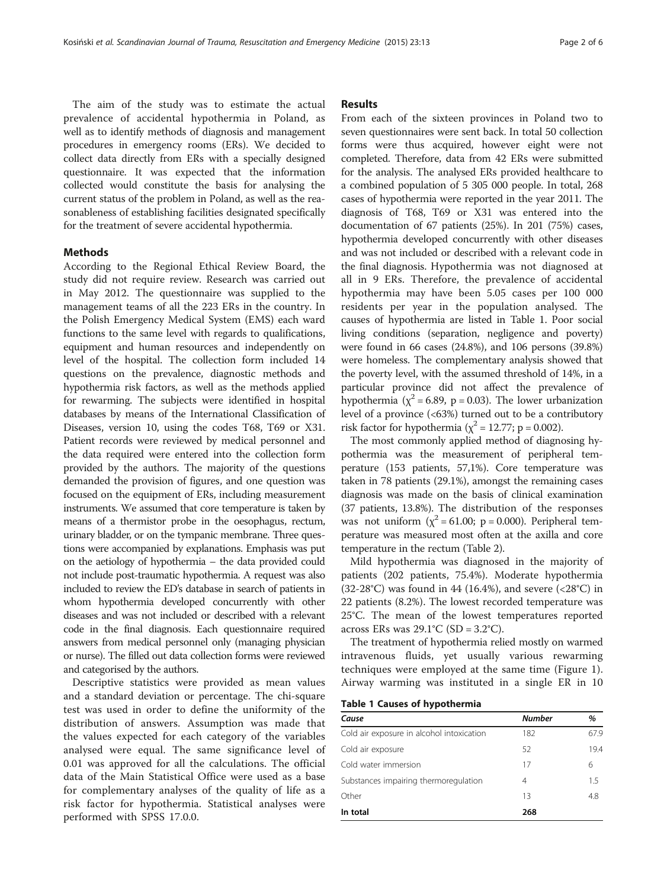The aim of the study was to estimate the actual prevalence of accidental hypothermia in Poland, as well as to identify methods of diagnosis and management procedures in emergency rooms (ERs). We decided to collect data directly from ERs with a specially designed questionnaire. It was expected that the information collected would constitute the basis for analysing the current status of the problem in Poland, as well as the reasonableness of establishing facilities designated specifically for the treatment of severe accidental hypothermia.

### Methods

According to the Regional Ethical Review Board, the study did not require review. Research was carried out in May 2012. The questionnaire was supplied to the management teams of all the 223 ERs in the country. In the Polish Emergency Medical System (EMS) each ward functions to the same level with regards to qualifications, equipment and human resources and independently on level of the hospital. The collection form included 14 questions on the prevalence, diagnostic methods and hypothermia risk factors, as well as the methods applied for rewarming. The subjects were identified in hospital databases by means of the International Classification of Diseases, version 10, using the codes T68, T69 or X31. Patient records were reviewed by medical personnel and the data required were entered into the collection form provided by the authors. The majority of the questions demanded the provision of figures, and one question was focused on the equipment of ERs, including measurement instruments. We assumed that core temperature is taken by means of a thermistor probe in the oesophagus, rectum, urinary bladder, or on the tympanic membrane. Three questions were accompanied by explanations. Emphasis was put on the aetiology of hypothermia – the data provided could not include post-traumatic hypothermia. A request was also included to review the ED's database in search of patients in whom hypothermia developed concurrently with other diseases and was not included or described with a relevant code in the final diagnosis. Each questionnaire required answers from medical personnel only (managing physician or nurse). The filled out data collection forms were reviewed and categorised by the authors.

Descriptive statistics were provided as mean values and a standard deviation or percentage. The chi-square test was used in order to define the uniformity of the distribution of answers. Assumption was made that the values expected for each category of the variables analysed were equal. The same significance level of 0.01 was approved for all the calculations. The official data of the Main Statistical Office were used as a base for complementary analyses of the quality of life as a risk factor for hypothermia. Statistical analyses were performed with SPSS 17.0.0.

#### Results

From each of the sixteen provinces in Poland two to seven questionnaires were sent back. In total 50 collection forms were thus acquired, however eight were not completed. Therefore, data from 42 ERs were submitted for the analysis. The analysed ERs provided healthcare to a combined population of 5 305 000 people. In total, 268 cases of hypothermia were reported in the year 2011. The diagnosis of T68, T69 or X31 was entered into the documentation of 67 patients (25%). In 201 (75%) cases, hypothermia developed concurrently with other diseases and was not included or described with a relevant code in the final diagnosis. Hypothermia was not diagnosed at all in 9 ERs. Therefore, the prevalence of accidental hypothermia may have been 5.05 cases per 100 000 residents per year in the population analysed. The causes of hypothermia are listed in Table 1. Poor social living conditions (separation, negligence and poverty) were found in 66 cases (24.8%), and 106 persons (39.8%) were homeless. The complementary analysis showed that the poverty level, with the assumed threshold of 14%, in a particular province did not affect the prevalence of hypothermia ( $\chi^2$  = 6.89, p = 0.03). The lower urbanization level of a province (<63%) turned out to be a contributory risk factor for hypothermia ( $\chi^2$  = 12.77; p = 0.002).

The most commonly applied method of diagnosing hypothermia was the measurement of peripheral temperature (153 patients, 57,1%). Core temperature was taken in 78 patients (29.1%), amongst the remaining cases diagnosis was made on the basis of clinical examination (37 patients, 13.8%). The distribution of the responses was not uniform  $(\chi^2 = 61.00; p = 0.000)$ . Peripheral temperature was measured most often at the axilla and core temperature in the rectum (Table [2\)](#page-2-0).

Mild hypothermia was diagnosed in the majority of patients (202 patients, 75.4%). Moderate hypothermia  $(32-28\degree C)$  was found in 44 (16.4%), and severe (<28 $\degree C$ ) in 22 patients (8.2%). The lowest recorded temperature was 25°C. The mean of the lowest temperatures reported across ERs was  $29.1^{\circ}$ C (SD = 3.2°C).

The treatment of hypothermia relied mostly on warmed intravenous fluids, yet usually various rewarming techniques were employed at the same time (Figure [1](#page-2-0)). Airway warming was instituted in a single ER in 10

| <b>Table 1 Causes of hypothermia</b> |  |  |  |  |  |  |
|--------------------------------------|--|--|--|--|--|--|
|--------------------------------------|--|--|--|--|--|--|

| Cause                                     | Number | %    |
|-------------------------------------------|--------|------|
| Cold air exposure in alcohol intoxication | 182    | 67.9 |
| Cold air exposure                         | 52     | 19.4 |
| Cold water immersion                      | 17     | 6    |
| Substances impairing thermoregulation     | 4      | 1.5  |
| Other                                     | 13     | 4.8  |
| In total                                  | 268    |      |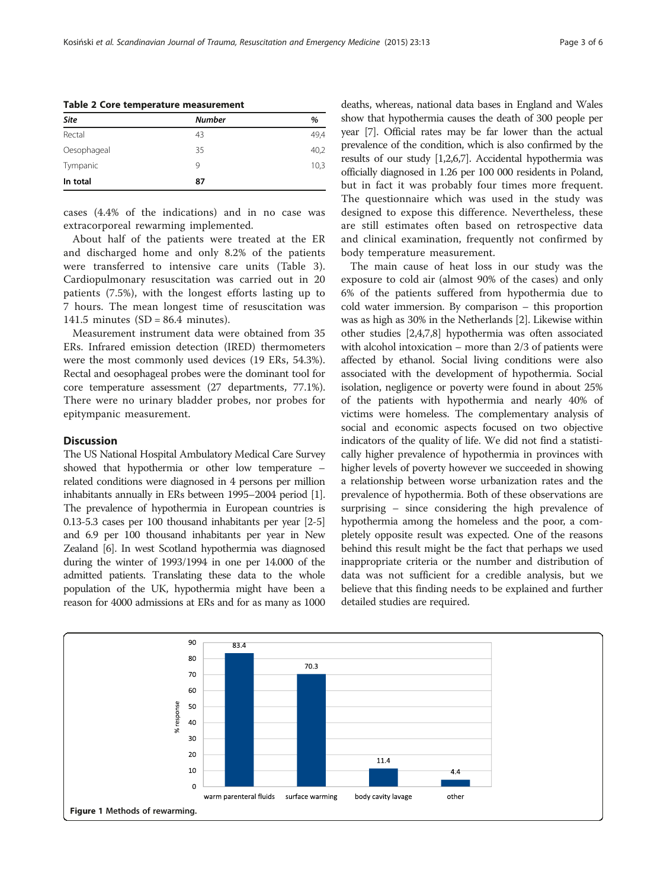<span id="page-2-0"></span>Table 2 Core temperature measurement

| <b>Site</b> | <b>Number</b> | %    |
|-------------|---------------|------|
| Rectal      | 43            | 49,4 |
| Oesophageal | 35            | 40,2 |
| Tympanic    | 9             | 10,3 |
| In total    | 87            |      |

cases (4.4% of the indications) and in no case was extracorporeal rewarming implemented.

About half of the patients were treated at the ER and discharged home and only 8.2% of the patients were transferred to intensive care units (Table [3](#page-3-0)). Cardiopulmonary resuscitation was carried out in 20 patients (7.5%), with the longest efforts lasting up to 7 hours. The mean longest time of resuscitation was 141.5 minutes  $(SD = 86.4$  minutes).

Measurement instrument data were obtained from 35 ERs. Infrared emission detection (IRED) thermometers were the most commonly used devices (19 ERs, 54.3%). Rectal and oesophageal probes were the dominant tool for core temperature assessment (27 departments, 77.1%). There were no urinary bladder probes, nor probes for epitympanic measurement.

### **Discussion**

The US National Hospital Ambulatory Medical Care Survey showed that hypothermia or other low temperature – related conditions were diagnosed in 4 persons per million inhabitants annually in ERs between 1995–2004 period [[1](#page-4-0)]. The prevalence of hypothermia in European countries is 0.13-5.3 cases per 100 thousand inhabitants per year [[2](#page-4-0)-[5](#page-4-0)] and 6.9 per 100 thousand inhabitants per year in New Zealand [[6](#page-4-0)]. In west Scotland hypothermia was diagnosed during the winter of 1993/1994 in one per 14.000 of the admitted patients. Translating these data to the whole population of the UK, hypothermia might have been a reason for 4000 admissions at ERs and for as many as 1000 deaths, whereas, national data bases in England and Wales show that hypothermia causes the death of 300 people per year [[7](#page-4-0)]. Official rates may be far lower than the actual prevalence of the condition, which is also confirmed by the results of our study [\[1,2,6,7\]](#page-4-0). Accidental hypothermia was officially diagnosed in 1.26 per 100 000 residents in Poland, but in fact it was probably four times more frequent. The questionnaire which was used in the study was designed to expose this difference. Nevertheless, these are still estimates often based on retrospective data and clinical examination, frequently not confirmed by body temperature measurement.

The main cause of heat loss in our study was the exposure to cold air (almost 90% of the cases) and only 6% of the patients suffered from hypothermia due to cold water immersion. By comparison – this proportion was as high as 30% in the Netherlands [[2](#page-4-0)]. Likewise within other studies [[2,4,7,8](#page-4-0)] hypothermia was often associated with alcohol intoxication – more than 2/3 of patients were affected by ethanol. Social living conditions were also associated with the development of hypothermia. Social isolation, negligence or poverty were found in about 25% of the patients with hypothermia and nearly 40% of victims were homeless. The complementary analysis of social and economic aspects focused on two objective indicators of the quality of life. We did not find a statistically higher prevalence of hypothermia in provinces with higher levels of poverty however we succeeded in showing a relationship between worse urbanization rates and the prevalence of hypothermia. Both of these observations are surprising – since considering the high prevalence of hypothermia among the homeless and the poor, a completely opposite result was expected. One of the reasons behind this result might be the fact that perhaps we used inappropriate criteria or the number and distribution of data was not sufficient for a credible analysis, but we believe that this finding needs to be explained and further detailed studies are required.

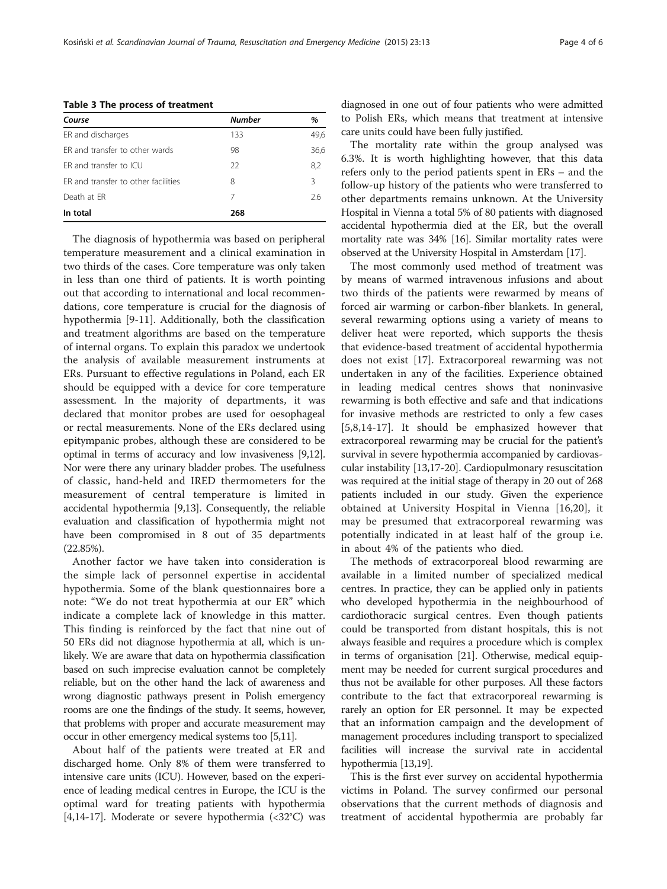<span id="page-3-0"></span>Table 3 The process of treatment

| Course                              | <b>Number</b> | %    |  |
|-------------------------------------|---------------|------|--|
| ER and discharges                   | 133           | 49,6 |  |
| FR and transfer to other wards      | 98            | 36,6 |  |
| FR and transfer to ICU              | 22            | 8,2  |  |
| FR and transfer to other facilities | 8             | Β    |  |
| Death at FR                         | 7             | 2.6  |  |
| In total                            | 268           |      |  |

The diagnosis of hypothermia was based on peripheral temperature measurement and a clinical examination in two thirds of the cases. Core temperature was only taken in less than one third of patients. It is worth pointing out that according to international and local recommendations, core temperature is crucial for the diagnosis of hypothermia [\[9](#page-4-0)-[11\]](#page-4-0). Additionally, both the classification and treatment algorithms are based on the temperature of internal organs. To explain this paradox we undertook the analysis of available measurement instruments at ERs. Pursuant to effective regulations in Poland, each ER should be equipped with a device for core temperature assessment. In the majority of departments, it was declared that monitor probes are used for oesophageal or rectal measurements. None of the ERs declared using epitympanic probes, although these are considered to be optimal in terms of accuracy and low invasiveness [\[9,12](#page-4-0)]. Nor were there any urinary bladder probes. The usefulness of classic, hand-held and IRED thermometers for the measurement of central temperature is limited in accidental hypothermia [[9,13](#page-4-0)]. Consequently, the reliable evaluation and classification of hypothermia might not have been compromised in 8 out of 35 departments (22.85%).

Another factor we have taken into consideration is the simple lack of personnel expertise in accidental hypothermia. Some of the blank questionnaires bore a note: "We do not treat hypothermia at our ER" which indicate a complete lack of knowledge in this matter. This finding is reinforced by the fact that nine out of 50 ERs did not diagnose hypothermia at all, which is unlikely. We are aware that data on hypothermia classification based on such imprecise evaluation cannot be completely reliable, but on the other hand the lack of awareness and wrong diagnostic pathways present in Polish emergency rooms are one the findings of the study. It seems, however, that problems with proper and accurate measurement may occur in other emergency medical systems too [\[5,11](#page-4-0)].

About half of the patients were treated at ER and discharged home. Only 8% of them were transferred to intensive care units (ICU). However, based on the experience of leading medical centres in Europe, the ICU is the optimal ward for treating patients with hypothermia [[4,14](#page-4-0)-[17](#page-4-0)]. Moderate or severe hypothermia (<32°C) was diagnosed in one out of four patients who were admitted to Polish ERs, which means that treatment at intensive care units could have been fully justified.

The mortality rate within the group analysed was 6.3%. It is worth highlighting however, that this data refers only to the period patients spent in ERs – and the follow-up history of the patients who were transferred to other departments remains unknown. At the University Hospital in Vienna a total 5% of 80 patients with diagnosed accidental hypothermia died at the ER, but the overall mortality rate was 34% [\[16\]](#page-4-0). Similar mortality rates were observed at the University Hospital in Amsterdam [[17](#page-4-0)].

The most commonly used method of treatment was by means of warmed intravenous infusions and about two thirds of the patients were rewarmed by means of forced air warming or carbon-fiber blankets. In general, several rewarming options using a variety of means to deliver heat were reported, which supports the thesis that evidence-based treatment of accidental hypothermia does not exist [\[17](#page-4-0)]. Extracorporeal rewarming was not undertaken in any of the facilities. Experience obtained in leading medical centres shows that noninvasive rewarming is both effective and safe and that indications for invasive methods are restricted to only a few cases [[5,8,14-17](#page-4-0)]. It should be emphasized however that extracorporeal rewarming may be crucial for the patient's survival in severe hypothermia accompanied by cardiovascular instability [\[13,17](#page-4-0)-[20\]](#page-5-0). Cardiopulmonary resuscitation was required at the initial stage of therapy in 20 out of 268 patients included in our study. Given the experience obtained at University Hospital in Vienna [[16,](#page-4-0)[20\]](#page-5-0), it may be presumed that extracorporeal rewarming was potentially indicated in at least half of the group i.e. in about 4% of the patients who died.

The methods of extracorporeal blood rewarming are available in a limited number of specialized medical centres. In practice, they can be applied only in patients who developed hypothermia in the neighbourhood of cardiothoracic surgical centres. Even though patients could be transported from distant hospitals, this is not always feasible and requires a procedure which is complex in terms of organisation [[21](#page-5-0)]. Otherwise, medical equipment may be needed for current surgical procedures and thus not be available for other purposes. All these factors contribute to the fact that extracorporeal rewarming is rarely an option for ER personnel. It may be expected that an information campaign and the development of management procedures including transport to specialized facilities will increase the survival rate in accidental hypothermia [[13](#page-4-0)[,19\]](#page-5-0).

This is the first ever survey on accidental hypothermia victims in Poland. The survey confirmed our personal observations that the current methods of diagnosis and treatment of accidental hypothermia are probably far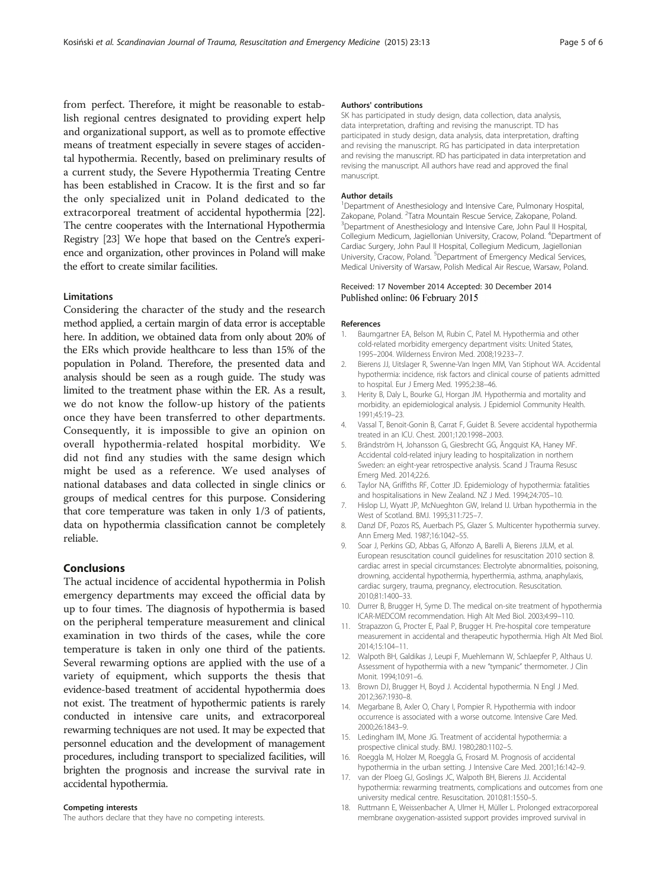<span id="page-4-0"></span>from perfect. Therefore, it might be reasonable to establish regional centres designated to providing expert help and organizational support, as well as to promote effective means of treatment especially in severe stages of accidental hypothermia. Recently, based on preliminary results of a current study, the Severe Hypothermia Treating Centre has been established in Cracow. It is the first and so far the only specialized unit in Poland dedicated to the extracorporeal treatment of accidental hypothermia [\[22](#page-5-0)]. The centre cooperates with the International Hypothermia Registry [[23](#page-5-0)] We hope that based on the Centre's experience and organization, other provinces in Poland will make the effort to create similar facilities.

## Limitations

Considering the character of the study and the research method applied, a certain margin of data error is acceptable here. In addition, we obtained data from only about 20% of the ERs which provide healthcare to less than 15% of the population in Poland. Therefore, the presented data and analysis should be seen as a rough guide. The study was limited to the treatment phase within the ER. As a result, we do not know the follow-up history of the patients once they have been transferred to other departments. Consequently, it is impossible to give an opinion on overall hypothermia-related hospital morbidity. We did not find any studies with the same design which might be used as a reference. We used analyses of national databases and data collected in single clinics or groups of medical centres for this purpose. Considering that core temperature was taken in only 1/3 of patients, data on hypothermia classification cannot be completely reliable.

## Conclusions

The actual incidence of accidental hypothermia in Polish emergency departments may exceed the official data by up to four times. The diagnosis of hypothermia is based on the peripheral temperature measurement and clinical examination in two thirds of the cases, while the core temperature is taken in only one third of the patients. Several rewarming options are applied with the use of a variety of equipment, which supports the thesis that evidence-based treatment of accidental hypothermia does not exist. The treatment of hypothermic patients is rarely conducted in intensive care units, and extracorporeal rewarming techniques are not used. It may be expected that personnel education and the development of management procedures, including transport to specialized facilities, will brighten the prognosis and increase the survival rate in accidental hypothermia.

#### Competing interests

The authors declare that they have no competing interests.

#### Authors' contributions

SK has participated in study design, data collection, data analysis, data interpretation, drafting and revising the manuscript. TD has participated in study design, data analysis, data interpretation, drafting and revising the manuscript. RG has participated in data interpretation and revising the manuscript. RD has participated in data interpretation and revising the manuscript. All authors have read and approved the final manuscript.

#### Author details

<sup>1</sup>Department of Anesthesiology and Intensive Care, Pulmonary Hospital Zakopane, Poland. <sup>2</sup>Tatra Mountain Rescue Service, Zakopane, Poland.<br><sup>3</sup>Department of Anesthesiology and Intensive Care, John Paul II Hosp <sup>3</sup>Department of Anesthesiology and Intensive Care, John Paul II Hospital, Collegium Medicum, Jagiellonian University, Cracow, Poland. <sup>4</sup>Department of Cardiac Surgery, John Paul II Hospital, Collegium Medicum, Jagiellonian University, Cracow, Poland. <sup>5</sup>Department of Emergency Medical Services, Medical University of Warsaw, Polish Medical Air Rescue, Warsaw, Poland.

#### Received: 17 November 2014 Accepted: 30 December 2014 Published online: 06 February 2015

#### References

- 1. Baumgartner EA, Belson M, Rubin C, Patel M. Hypothermia and other cold-related morbidity emergency department visits: United States, 1995–2004. Wilderness Environ Med. 2008;19:233–7.
- 2. Bierens JJ, Uitslager R, Swenne-Van Ingen MM, Van Stiphout WA. Accidental hypothermia: incidence, risk factors and clinical course of patients admitted to hospital. Eur J Emerg Med. 1995;2:38–46.
- 3. Herity B, Daly L, Bourke GJ, Horgan JM. Hypothermia and mortality and morbidity. an epidemiological analysis. J Epidemiol Community Health. 1991;45:19–23.
- 4. Vassal T, Benoit-Gonin B, Carrat F, Guidet B. Severe accidental hypothermia treated in an ICU. Chest. 2001;120:1998–2003.
- 5. Brändström H, Johansson G, Giesbrecht GG, Ängquist KA, Haney MF. Accidental cold-related injury leading to hospitalization in northern Sweden: an eight-year retrospective analysis. Scand J Trauma Resusc Emerg Med. 2014;22:6.
- 6. Taylor NA, Griffiths RF, Cotter JD. Epidemiology of hypothermia: fatalities and hospitalisations in New Zealand. NZ J Med. 1994;24:705–10.
- 7. Hislop LJ, Wyatt JP, McNueghton GW, Ireland IJ. Urban hypothermia in the West of Scotland. BMJ. 1995;311:725–7.
- 8. Danzl DF, Pozos RS, Auerbach PS, Glazer S. Multicenter hypothermia survey. Ann Emerg Med. 1987;16:1042–55.
- 9. Soar J, Perkins GD, Abbas G, Alfonzo A, Barelli A, Bierens JJLM, et al. European resuscitation council guidelines for resuscitation 2010 section 8. cardiac arrest in special circumstances: Electrolyte abnormalities, poisoning, drowning, accidental hypothermia, hyperthermia, asthma, anaphylaxis, cardiac surgery, trauma, pregnancy, electrocution. Resuscitation. 2010;81:1400–33.
- 10. Durrer B, Brugger H, Syme D. The medical on-site treatment of hypothermia ICAR-MEDCOM recommendation. High Alt Med Biol. 2003;4:99–110.
- 11. Strapazzon G, Procter E, Paal P, Brugger H. Pre-hospital core temperature measurement in accidental and therapeutic hypothermia. High Alt Med Biol. 2014;15:104–11.
- 12. Walpoth BH, Galdikas J, Leupi F, Muehlemann W, Schlaepfer P, Althaus U. Assessment of hypothermia with a new "tympanic" thermometer. J Clin Monit. 1994;10:91–6.
- 13. Brown DJ, Brugger H, Boyd J. Accidental hypothermia. N Engl J Med. 2012;367:1930–8.
- 14. Megarbane B, Axler O, Chary I, Pompier R. Hypothermia with indoor occurrence is associated with a worse outcome. Intensive Care Med. 2000;26:1843–9.
- 15. Ledingham IM, Mone JG. Treatment of accidental hypothermia: a prospective clinical study. BMJ. 1980;280:1102–5.
- 16. Roeggla M, Holzer M, Roeggla G, Frosard M. Prognosis of accidental hypothermia in the urban setting. J Intensive Care Med. 2001;16:142–9.
- 17. van der Ploeg GJ, Goslings JC, Walpoth BH, Bierens JJ. Accidental hypothermia: rewarming treatments, complications and outcomes from one university medical centre. Resuscitation. 2010;81:1550–5.
- 18. Ruttmann E, Weissenbacher A, Ulmer H, Müller L. Prolonged extracorporeal membrane oxygenation-assisted support provides improved survival in